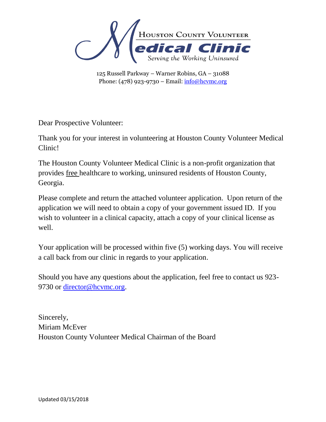

Dear Prospective Volunteer:

Thank you for your interest in volunteering at Houston County Volunteer Medical Clinic!

The Houston County Volunteer Medical Clinic is a non-profit organization that provides free healthcare to working, uninsured residents of Houston County, Georgia.

Please complete and return the attached volunteer application. Upon return of the application we will need to obtain a copy of your government issued ID. If you wish to volunteer in a clinical capacity, attach a copy of your clinical license as well.

Your application will be processed within five (5) working days. You will receive a call back from our clinic in regards to your application.

Should you have any questions about the application, feel free to contact us 923 9730 or [director@hcvmc.org.](mailto:director@hcvmc.org)

Sincerely, Miriam McEver Houston County Volunteer Medical Chairman of the Board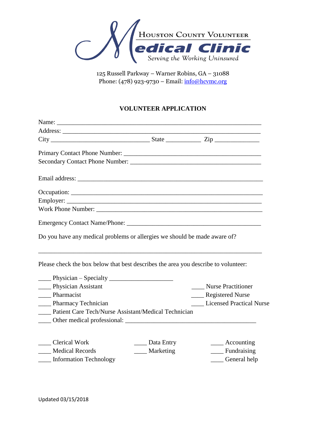

125 Russell Parkway – Warner Robins, GA – 31088 Phone: (478) 923-9730 - Email: [info@hcvmc.org](mailto:info@hcvmc.org)

# **VOLUNTEER APPLICATION**

| $City$ $2ip$ $2ip$                                                                 |                          |                                 |
|------------------------------------------------------------------------------------|--------------------------|---------------------------------|
|                                                                                    |                          |                                 |
|                                                                                    |                          |                                 |
|                                                                                    |                          |                                 |
|                                                                                    |                          |                                 |
|                                                                                    |                          |                                 |
| Work Phone Number:                                                                 |                          |                                 |
|                                                                                    |                          |                                 |
| Do you have any medical problems or allergies we should be made aware of?          |                          |                                 |
| Please check the box below that best describes the area you describe to volunteer. |                          |                                 |
| $\frac{1}{2}$ Physician – Specialty                                                |                          |                                 |
| _____ Physician Assistant                                                          |                          | <b>Nurse Practitioner</b>       |
| ____ Pharmacist                                                                    |                          | Registered Nurse                |
| _____ Pharmacy Technician                                                          |                          | <b>Licensed Practical Nurse</b> |
| Patient Care Tech/Nurse Assistant/Medical Technician                               |                          |                                 |
|                                                                                    |                          |                                 |
|                                                                                    |                          |                                 |
| Clerical Work                                                                      | $\frac{1}{2}$ Data Entry | $\frac{1}{2}$ Accounting        |
| ___ Medical Records                                                                | ____ Marketing           | $\equiv$ Fundraising            |
| ____ Information Technology                                                        |                          | ___ General help                |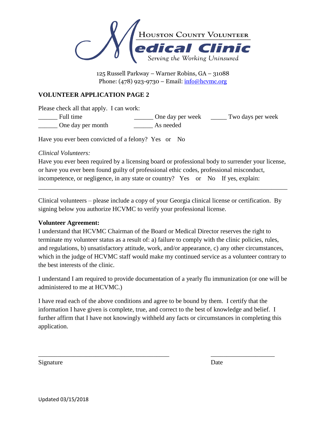

### **VOLUNTEER APPLICATION PAGE 2**

Please check all that apply. I can work:

\_\_\_\_\_\_ Full time \_\_\_\_\_\_ One day per week \_\_\_\_\_ Two days per week \_\_\_\_\_\_ One day per month \_\_\_\_\_\_ As needed

Have you ever been convicted of a felony? Yes or No

## *Clinical Volunteers:*

Have you ever been required by a licensing board or professional body to surrender your license, or have you ever been found guilty of professional ethic codes, professional misconduct, incompetence, or negligence, in any state or country? Yes or No If yes, explain:

\_\_\_\_\_\_\_\_\_\_\_\_\_\_\_\_\_\_\_\_\_\_\_\_\_\_\_\_\_\_\_\_\_\_\_\_\_\_\_\_\_\_\_\_\_\_\_\_\_\_\_\_\_\_\_\_\_\_\_\_\_\_\_\_\_\_\_\_\_\_\_\_\_\_\_\_\_\_

Clinical volunteers – please include a copy of your Georgia clinical license or certification. By signing below you authorize HCVMC to verify your professional license.

### **Volunteer Agreement:**

I understand that HCVMC Chairman of the Board or Medical Director reserves the right to terminate my volunteer status as a result of: a) failure to comply with the clinic policies, rules, and regulations, b) unsatisfactory attitude, work, and/or appearance, c) any other circumstances, which in the judge of HCVMC staff would make my continued service as a volunteer contrary to the best interests of the clinic.

I understand I am required to provide documentation of a yearly flu immunization (or one will be administered to me at HCVMC.)

I have read each of the above conditions and agree to be bound by them. I certify that the information I have given is complete, true, and correct to the best of knowledge and belief. I further affirm that I have not knowingly withheld any facts or circumstances in completing this application.

\_\_\_\_\_\_\_\_\_\_\_\_\_\_\_\_\_\_\_\_\_\_\_\_\_\_\_\_\_\_\_\_\_\_\_\_\_\_\_\_\_ \_\_\_\_\_\_\_\_\_\_\_\_\_\_\_\_\_\_\_\_

Signature Date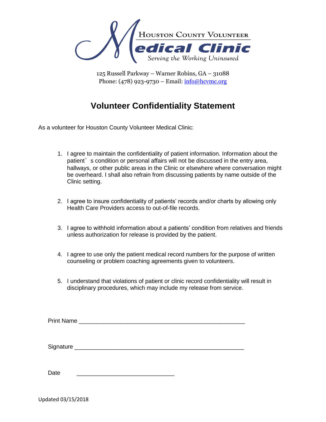

# **Volunteer Confidentiality Statement**

As a volunteer for Houston County Volunteer Medical Clinic:

- 1. I agree to maintain the confidentiality of patient information. Information about the patient's condition or personal affairs will not be discussed in the entry area, hallways, or other public areas in the Clinic or elsewhere where conversation might be overheard. I shall also refrain from discussing patients by name outside of the Clinic setting.
- 2. I agree to insure confidentiality of patients' records and/or charts by allowing only Health Care Providers access to out-of-file records.
- 3. I agree to withhold information about a patients' condition from relatives and friends unless authorization for release is provided by the patient.
- 4. I agree to use only the patient medical record numbers for the purpose of written counseling or problem coaching agreements given to volunteers.
- 5. I understand that violations of patient or clinic record confidentiality will result in disciplinary procedures, which may include my release from service.

Date \_\_\_\_\_\_\_\_\_\_\_\_\_\_\_\_\_\_\_\_\_\_\_\_\_\_\_\_\_\_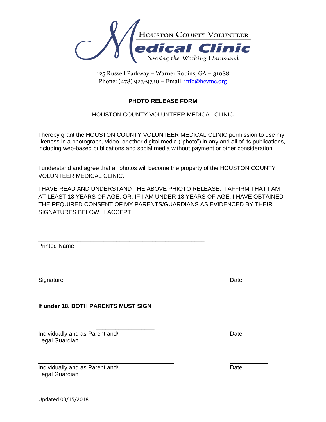

# **PHOTO RELEASE FORM**

### HOUSTON COUNTY VOLUNTEER MEDICAL CLINIC

I hereby grant the HOUSTON COUNTY VOLUNTEER MEDICAL CLINIC permission to use my likeness in a photograph, video, or other digital media ("photo") in any and all of its publications, including web-based publications and social media without payment or other consideration.

I understand and agree that all photos will become the property of the HOUSTON COUNTY VOLUNTEER MEDICAL CLINIC.

I HAVE READ AND UNDERSTAND THE ABOVE PHIOTO RELEASE. I AFFIRM THAT I AM AT LEAST 18 YEARS OF AGE, OR, IF I AM UNDER 18 YEARS OF AGE, I HAVE OBTAINED THE REQUIRED CONSENT OF MY PARENTS/GUARDIANS AS EVIDENCED BY THEIR SIGNATURES BELOW. I ACCEPT:

\_\_\_\_\_\_\_\_\_\_\_\_\_\_\_\_\_\_\_\_\_\_\_\_\_\_\_\_\_\_\_\_\_\_\_\_\_\_\_\_\_\_\_\_\_\_\_\_\_\_\_ \_\_\_\_\_\_\_\_\_\_\_\_\_

Printed Name

Signature Date **Date** 

**If under 18, BOTH PARENTS MUST SIGN**

\_\_\_\_\_\_\_\_\_\_\_\_\_\_\_\_\_\_\_\_\_\_\_\_\_\_\_\_\_\_\_\_\_\_\_\_\_\_\_\_\_\_\_\_\_\_\_\_\_\_\_

 $\mathcal{L}=\mathcal{L}^{\mathcal{L}}$  , where  $\mathcal{L}^{\mathcal{L}}$ 

 $\mathcal{L}=\mathcal{L}^{\mathcal{L}}$  , where  $\mathcal{L}^{\mathcal{L}}$ 

Individually and as Parent and/ Date and  $D$ Legal Guardian

Individually and as Parent and/ **Date** Legal Guardian